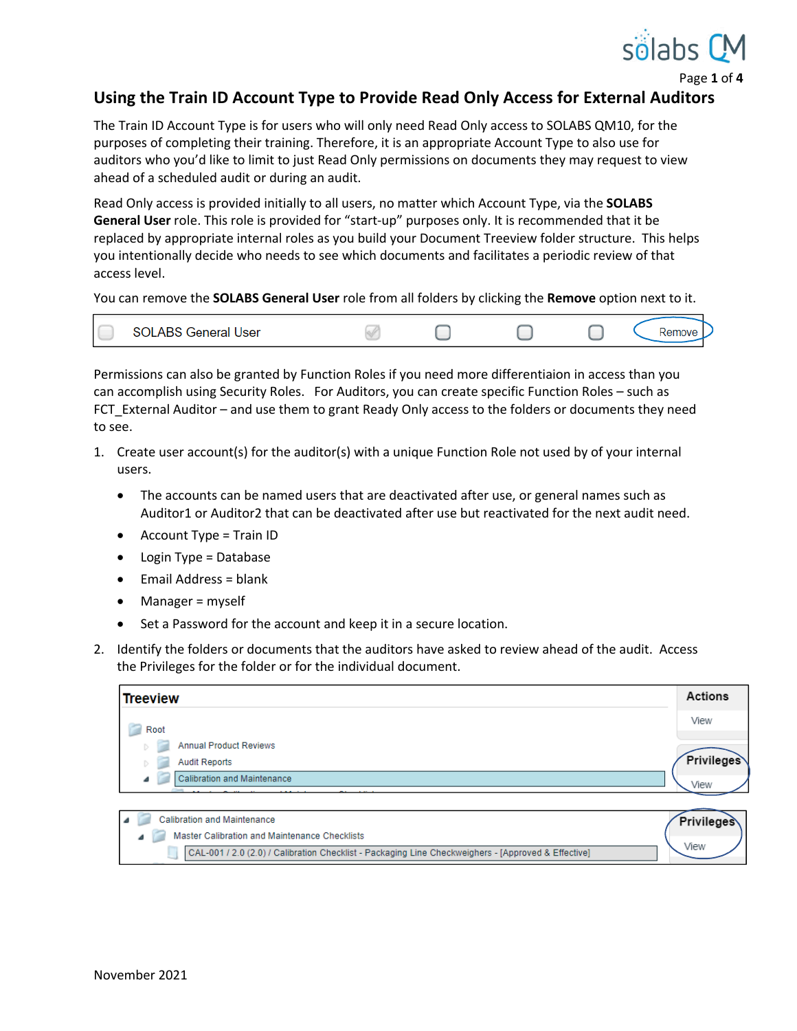

Page **1** of **4**

## **Using the Train ID Account Type to Provide Read Only Access for External Auditors**

The Train ID Account Type is for users who will only need Read Only access to SOLABS QM10, for the purposes of completing their training. Therefore, it is an appropriate Account Type to also use for auditors who you'd like to limit to just Read Only permissions on documents they may request to view ahead of a scheduled audit or during an audit.

Read Only access is provided initially to all users, no matter which Account Type, via the **SOLABS General User** role. This role is provided for "start-up" purposes only. It is recommended that it be replaced by appropriate internal roles as you build your Document Treeview folder structure. This helps you intentionally decide who needs to see which documents and facilitates a periodic review of that access level.

You can remove the **SOLABS General User** role from all folders by clicking the **Remove** option next to it.

| <b>SOLABS General User</b> |  |  | .nove |
|----------------------------|--|--|-------|
|                            |  |  |       |

Permissions can also be granted by Function Roles if you need more differentiaion in access than you can accomplish using Security Roles. For Auditors, you can create specific Function Roles – such as FCT\_External Auditor – and use them to grant Ready Only access to the folders or documents they need to see.

- 1. Create user account(s) for the auditor(s) with a unique Function Role not used by of your internal users.
	- The accounts can be named users that are deactivated after use, or general names such as Auditor1 or Auditor2 that can be deactivated after use but reactivated for the next audit need.
	- Account Type = Train ID
	- Login Type = Database
	- Email Address = blank
	- Manager = myself
	- Set a Password for the account and keep it in a secure location.
- 2. Identify the folders or documents that the auditors have asked to review ahead of the audit. Access the Privileges for the folder or for the individual document.

| View<br>Root<br><b>Annual Product Reviews</b><br>D.<br><b>Audit Reports</b> | <b>Actions</b> |
|-----------------------------------------------------------------------------|----------------|
|                                                                             |                |
|                                                                             |                |
| D.                                                                          | Privileges     |
| <b>Calibration and Maintenance</b><br>₫<br>View                             |                |

| Calibration and Maintenance                                                                         | <b>Privileges</b> |
|-----------------------------------------------------------------------------------------------------|-------------------|
| Master Calibration and Maintenance Checklists                                                       |                   |
| CAL-001 / 2.0 (2.0) / Calibration Checklist - Packaging Line Checkweighers - [Approved & Effective] | View              |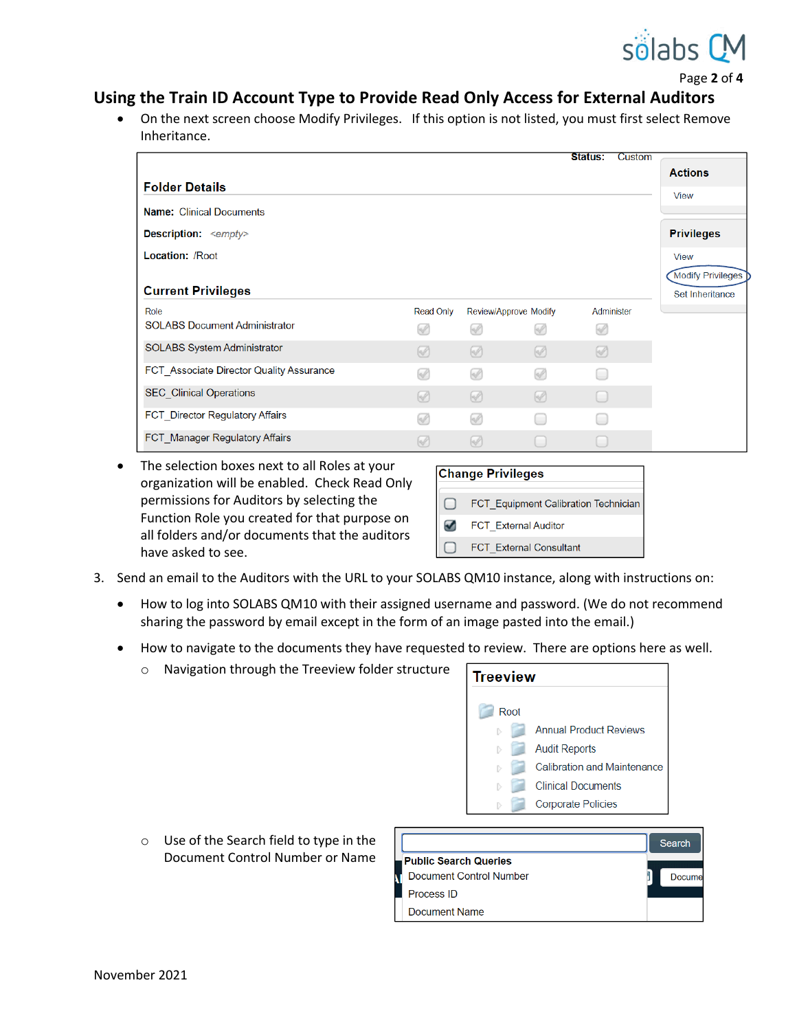

Page **2** of **4**

## **Using the Train ID Account Type to Provide Read Only Access for External Auditors**

 On the next screen choose Modify Privileges. If this option is not listed, you must first select Remove Inheritance.

|                                          |                  |                       |          | Status:    | Custom |                          |
|------------------------------------------|------------------|-----------------------|----------|------------|--------|--------------------------|
|                                          |                  |                       |          |            |        | <b>Actions</b>           |
| <b>Folder Details</b>                    |                  |                       |          |            |        | <b>View</b>              |
| <b>Name: Clinical Documents</b>          |                  |                       |          |            |        |                          |
| <b>Description:</b> <empty></empty>      |                  |                       |          |            |        | <b>Privileges</b>        |
| <b>Location: /Root</b>                   |                  |                       |          |            |        | <b>View</b>              |
|                                          |                  |                       |          |            |        | <b>Modify Privileges</b> |
| <b>Current Privileges</b>                |                  |                       |          |            |        | Set Inheritance          |
| Role                                     | <b>Read Only</b> | Review/Approve Modify |          | Administer |        |                          |
| <b>SOLABS Document Administrator</b>     | W                | Ø                     | W        | ∞          |        |                          |
| <b>SOLABS System Administrator</b>       | $\sqrt{2}$       | ⊛                     | $\omega$ | Ø          |        |                          |
| FCT Associate Director Quality Assurance | Ø                | ∞                     | W        | œ          |        |                          |
| <b>SEC Clinical Operations</b>           | $\sqrt{2}$       | $\circledcirc$        | $\omega$ | ı.         |        |                          |
| FCT_Director Regulatory Affairs          | Ø                | ∞                     |          | œ          |        |                          |
| <b>FCT</b> Manager Regulatory Affairs    | W                | M                     |          |            |        |                          |

• The selection boxes next to all Roles at your organization will be enabled. Check Read Only permissions for Auditors by selecting the Function Role you created for that purpose on all folders and/or documents that the auditors have asked to see.

|        | Change Privileges                           |
|--------|---------------------------------------------|
|        |                                             |
| $\Box$ | <b>FCT</b> Equipment Calibration Technician |
| $\sim$ | <b>FCT External Auditor</b>                 |
|        | <b>FCT</b> External Consultant              |

- 3. Send an email to the Auditors with the URL to your SOLABS QM10 instance, along with instructions on:
	- How to log into SOLABS QM10 with their assigned username and password. (We do not recommend sharing the password by email except in the form of an image pasted into the email.)
	- How to navigate to the documents they have requested to review. There are options here as well.

| Navigation through the Treeview folder structure | <b>Treeview</b>                    |  |
|--------------------------------------------------|------------------------------------|--|
|                                                  | Root                               |  |
|                                                  | <b>Annual Product Reviews</b>      |  |
|                                                  | <b>Audit Reports</b>               |  |
|                                                  | <b>Calibration and Maintenance</b> |  |
|                                                  | <b>Clinical Documents</b>          |  |
|                                                  | <b>Corporate Policies</b>          |  |

o Use of the Search field to type in the Document Control Number or Name

|                                | Search |
|--------------------------------|--------|
| <b>Public Search Queries</b>   |        |
| <b>Document Control Number</b> | Docume |
| Process ID                     |        |
| Document Name                  |        |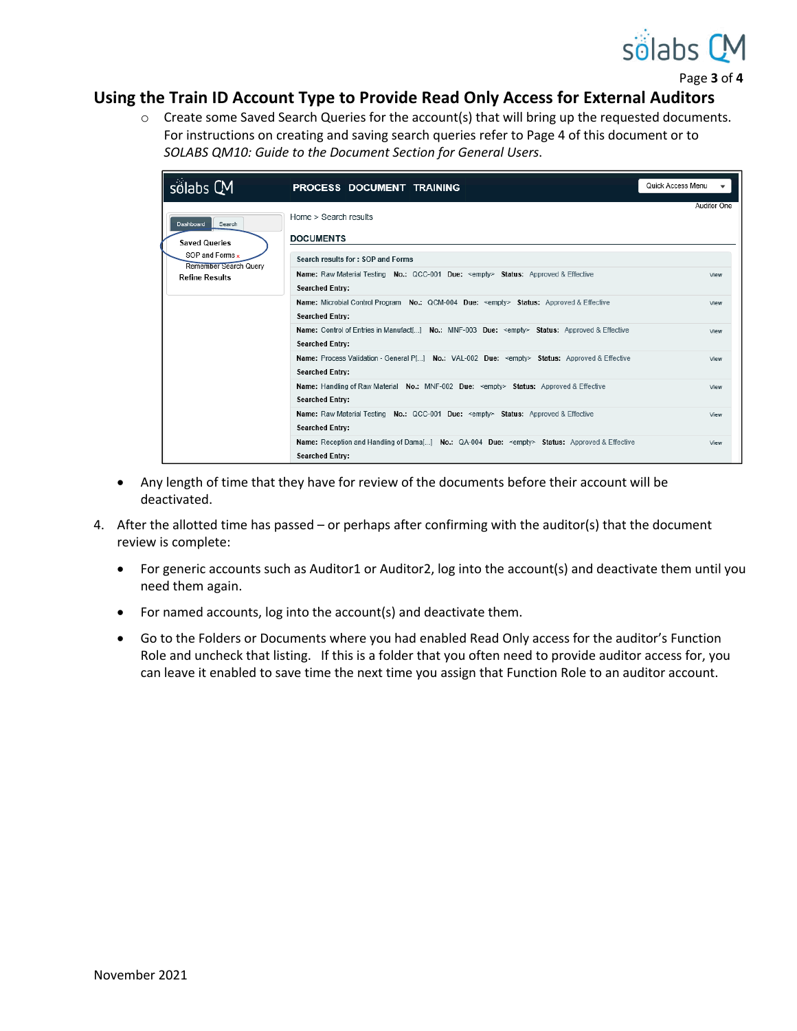

Page **3** of **4**

## **Using the Train ID Account Type to Provide Read Only Access for External Auditors**

 $\circ$  Create some Saved Search Queries for the account(s) that will bring up the requested documents. For instructions on creating and saving search queries refer to Page 4 of this document or to *SOLABS QM10: Guide to the Document Section for General Users*.



- Any length of time that they have for review of the documents before their account will be deactivated.
- 4. After the allotted time has passed or perhaps after confirming with the auditor(s) that the document review is complete:
	- For generic accounts such as Auditor1 or Auditor2, log into the account(s) and deactivate them until you need them again.
	- For named accounts, log into the account(s) and deactivate them.
	- Go to the Folders or Documents where you had enabled Read Only access for the auditor's Function Role and uncheck that listing. If this is a folder that you often need to provide auditor access for, you can leave it enabled to save time the next time you assign that Function Role to an auditor account.